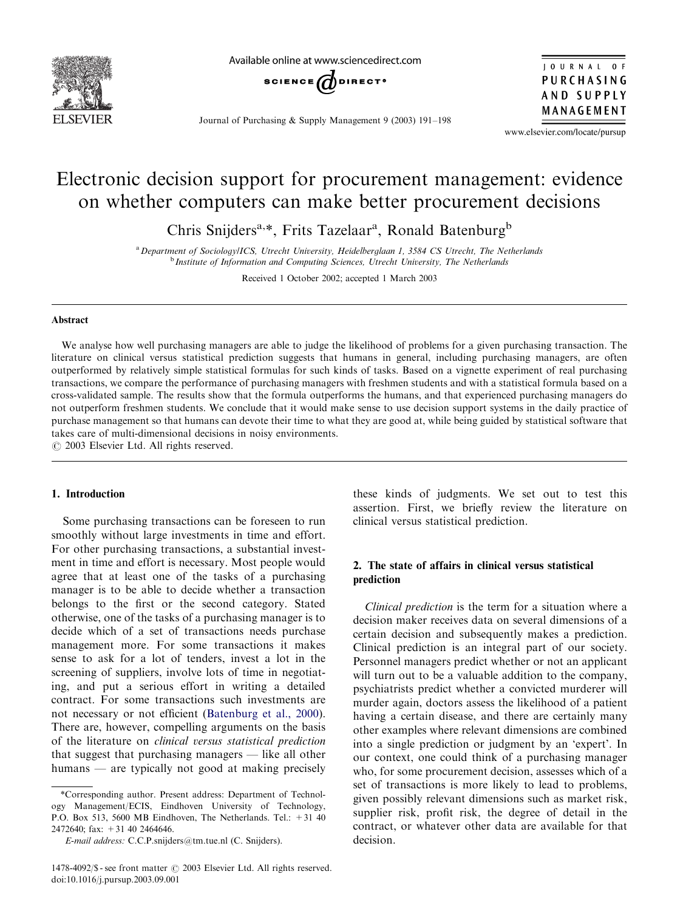

Available online at www.sciencedirect.com



Journal of Purchasing & Supply Management 9 (2003) 191–198

JOURNAL OF **PURCHASING** AND SUPPLY MANAGEMENT

www.elsevier.com/locate/pursup

## Electronic decision support for procurement management: evidence on whether computers can make better procurement decisions

Chris Snijders<sup>a,\*</sup>, Frits Tazelaar<sup>a</sup>, Ronald Batenburg<sup>b</sup>

<sup>a</sup> Department of Sociology/ICS, Utrecht University, Heidelberglaan 1, 3584 CS Utrecht, The Netherlands <sup>b</sup> Institute of Information and Computing Sciences, Utrecht University, The Netherlands

Received 1 October 2002; accepted 1 March 2003

#### Abstract

We analyse how well purchasing managers are able to judge the likelihood of problems for a given purchasing transaction. The literature on clinical versus statistical prediction suggests that humans in general, including purchasing managers, are often outperformed by relatively simple statistical formulas for such kinds of tasks. Based on a vignette experiment of real purchasing transactions, we compare the performance of purchasing managers with freshmen students and with a statistical formula based on a cross-validated sample. The results show that the formula outperforms the humans, and that experienced purchasing managers do not outperform freshmen students. We conclude that it would make sense to use decision support systems in the daily practice of purchase management so that humans can devote their time to what they are good at, while being guided by statistical software that takes care of multi-dimensional decisions in noisy environments.

 $O$  2003 Elsevier Ltd. All rights reserved.

### 1. Introduction

Some purchasing transactions can be foreseen to run smoothly without large investments in time and effort. For other purchasing transactions, a substantial investment in time and effort is necessary. Most people would agree that at least one of the tasks of a purchasing manager is to be able to decide whether a transaction belongs to the first or the second category. Stated otherwise, one of the tasks of a purchasing manager is to decide which of a set of transactions needs purchase management more. For some transactions it makes sense to ask for a lot of tenders, invest a lot in the screening of suppliers, involve lots of time in negotiating, and put a serious effort in writing a detailed contract. For some transactions such investments are not necessary or not efficient [\(Batenburg et al., 2000\)](#page--1-0). There are, however, compelling arguments on the basis of the literature on clinical versus statistical prediction that suggest that purchasing managers — like all other humans — are typically not good at making precisely

\*Corresponding author. Present address: Department of Technology Management/ECIS, Eindhoven University of Technology, P.O. Box 513, 5600 MB Eindhoven, The Netherlands. Tel.: +31 40 2472640; fax: +31 40 2464646.

these kinds of judgments. We set out to test this assertion. First, we briefly review the literature on clinical versus statistical prediction.

## 2. The state of affairs in clinical versus statistical prediction

Clinical prediction is the term for a situation where a decision maker receives data on several dimensions of a certain decision and subsequently makes a prediction. Clinical prediction is an integral part of our society. Personnel managers predict whether or not an applicant will turn out to be a valuable addition to the company, psychiatrists predict whether a convicted murderer will murder again, doctors assess the likelihood of a patient having a certain disease, and there are certainly many other examples where relevant dimensions are combined into a single prediction or judgment by an 'expert'. In our context, one could think of a purchasing manager who, for some procurement decision, assesses which of a set of transactions is more likely to lead to problems, given possibly relevant dimensions such as market risk, supplier risk, profit risk, the degree of detail in the contract, or whatever other data are available for that decision.

E-mail address: C.C.P.snijders@tm.tue.nl (C. Snijders).

<sup>1478-4092/\$ -</sup> see front matter  $\odot$  2003 Elsevier Ltd. All rights reserved. doi:10.1016/j.pursup.2003.09.001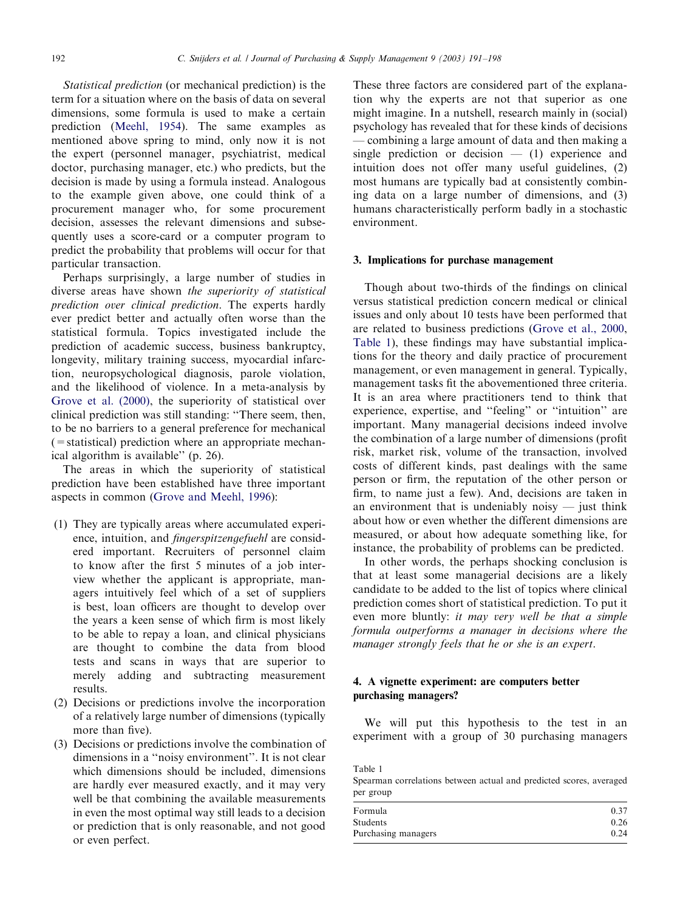Statistical prediction (or mechanical prediction) is the term for a situation where on the basis of data on several dimensions, some formula is used to make a certain prediction [\(Meehl, 1954](#page--1-0)). The same examples as mentioned above spring to mind, only now it is not the expert (personnel manager, psychiatrist, medical doctor, purchasing manager, etc.) who predicts, but the decision is made by using a formula instead. Analogous to the example given above, one could think of a procurement manager who, for some procurement decision, assesses the relevant dimensions and subsequently uses a score-card or a computer program to predict the probability that problems will occur for that particular transaction.

Perhaps surprisingly, a large number of studies in diverse areas have shown the superiority of statistical prediction over clinical prediction. The experts hardly ever predict better and actually often worse than the statistical formula. Topics investigated include the prediction of academic success, business bankruptcy, longevity, military training success, myocardial infarction, neuropsychological diagnosis, parole violation, and the likelihood of violence. In a meta-analysis by [Grove et al. \(2000\),](#page--1-0) the superiority of statistical over clinical prediction was still standing: ''There seem, then, to be no barriers to a general preference for mechanical (=statistical) prediction where an appropriate mechanical algorithm is available'' (p. 26).

The areas in which the superiority of statistical prediction have been established have three important aspects in common ([Grove and Meehl, 1996](#page--1-0)):

- (1) They are typically areas where accumulated experience, intuition, and fingerspitzengefuehl are considered important. Recruiters of personnel claim to know after the first 5 minutes of a job interview whether the applicant is appropriate, managers intuitively feel which of a set of suppliers is best, loan officers are thought to develop over the years a keen sense of which firm is most likely to be able to repay a loan, and clinical physicians are thought to combine the data from blood tests and scans in ways that are superior to merely adding and subtracting measurement results.
- (2) Decisions or predictions involve the incorporation of a relatively large number of dimensions (typically more than five).
- (3) Decisions or predictions involve the combination of dimensions in a ''noisy environment''. It is not clear which dimensions should be included, dimensions are hardly ever measured exactly, and it may very well be that combining the available measurements in even the most optimal way still leads to a decision or prediction that is only reasonable, and not good or even perfect.

These three factors are considered part of the explanation why the experts are not that superior as one might imagine. In a nutshell, research mainly in (social) psychology has revealed that for these kinds of decisions — combining a large amount of data and then making a single prediction or decision  $-$  (1) experience and intuition does not offer many useful guidelines, (2) most humans are typically bad at consistently combining data on a large number of dimensions, and (3) humans characteristically perform badly in a stochastic environment.

#### 3. Implications for purchase management

Though about two-thirds of the findings on clinical versus statistical prediction concern medical or clinical issues and only about 10 tests have been performed that are related to business predictions ([Grove et al., 2000](#page--1-0), Table 1), these findings may have substantial implications for the theory and daily practice of procurement management, or even management in general. Typically, management tasks fit the abovementioned three criteria. It is an area where practitioners tend to think that experience, expertise, and ''feeling'' or ''intuition'' are important. Many managerial decisions indeed involve the combination of a large number of dimensions (profit risk, market risk, volume of the transaction, involved costs of different kinds, past dealings with the same person or firm, the reputation of the other person or firm, to name just a few). And, decisions are taken in an environment that is undeniably noisy — just think about how or even whether the different dimensions are measured, or about how adequate something like, for instance, the probability of problems can be predicted.

In other words, the perhaps shocking conclusion is that at least some managerial decisions are a likely candidate to be added to the list of topics where clinical prediction comes short of statistical prediction. To put it even more bluntly: it may very well be that a simple formula outperforms a manager in decisions where the manager strongly feels that he or she is an expert.

## 4. A vignette experiment: are computers better purchasing managers?

We will put this hypothesis to the test in an experiment with a group of 30 purchasing managers

Table 1

Spearman correlations between actual and predicted scores, averaged per group

| Formula             | 0.37 |
|---------------------|------|
| Students            | 0.26 |
| Purchasing managers | 0.24 |